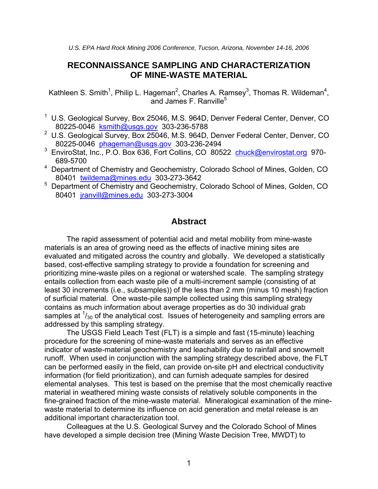# **RECONNAISSANCE SAMPLING AND CHARACTERIZATION OF MINE-WASTE MATERIAL**

Kathleen S. Smith<sup>1</sup>, Philip L. Hageman<sup>2</sup>, Charles A. Ramsey<sup>3</sup>, Thomas R. Wildeman<sup>4</sup>, and James F. Ranville<sup>5</sup>

- <sup>1</sup> U.S. Geological Survey, Box 25046, M.S. 964D, Denver Federal Center, Denver, CO 80225-0046 [ksmith@usgs.gov](mailto:ksmith@usgs.gov) 303-236-5788
- <sup>2</sup> U.S. Geological Survey, Box 25046, M.S. 964D, Denver Federal Center, Denver, CO 80225-0046 [phageman@usgs.gov](mailto:phageman@usgs.gov) 303-236-2494
- <sup>3</sup> EnviroStat, Inc., P.O. Box 636, Fort Collins, CO 80522 [chuck@envirostat.org](mailto:chuck@envirostat.org) 970-689-5700
- <sup>4</sup> Department of Chemistry and Geochemistry, Colorado School of Mines, Golden, CO 80401 [twildema@mines.edu](mailto:twildema@mines.edu) 303-273-3642
- <sup>5</sup> Department of Chemistry and Geochemistry, Colorado School of Mines, Golden, CO 80401 [jranvill@mines.edu](mailto:jranvill@mines.edu) 303-273-3004

## **Abstract**

The rapid assessment of potential acid and metal mobility from mine-waste materials is an area of growing need as the effects of inactive mining sites are evaluated and mitigated across the country and globally. We developed a statistically based, cost-effective sampling strategy to provide a foundation for screening and prioritizing mine-waste piles on a regional or watershed scale. The sampling strategy entails collection from each waste pile of a multi-increment sample (consisting of at least 30 increments (i.e., subsamples)) of the less than 2 mm (minus 10 mesh) fraction of surficial material. One waste-pile sample collected using this sampling strategy contains as much information about average properties as do 30 individual grab samples at  $\frac{1}{30}$  of the analytical cost. Issues of heterogeneity and sampling errors are addressed by this sampling strategy.

The USGS Field Leach Test (FLT) is a simple and fast (15-minute) leaching procedure for the screening of mine-waste materials and serves as an effective indicator of waste-material geochemistry and leachability due to rainfall and snowmelt runoff. When used in conjunction with the sampling strategy described above, the FLT can be performed easily in the field, can provide on-site pH and electrical conductivity information (for field prioritization), and can furnish adequate samples for desired elemental analyses. This test is based on the premise that the most chemically reactive material in weathered mining waste consists of relatively soluble components in the fine-grained fraction of the mine-waste material. Mineralogical examination of the minewaste material to determine its influence on acid generation and metal release is an additional important characterization tool.

Colleagues at the U.S. Geological Survey and the Colorado School of Mines have developed a simple decision tree (Mining Waste Decision Tree, MWDT) to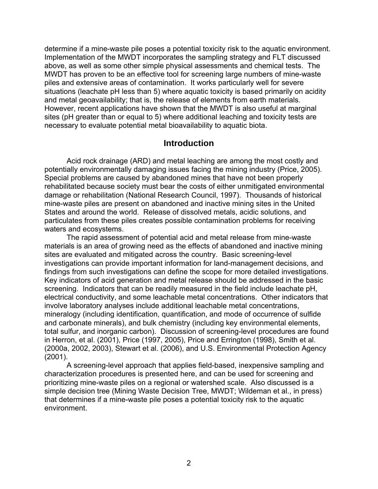determine if a mine-waste pile poses a potential toxicity risk to the aquatic environment. Implementation of the MWDT incorporates the sampling strategy and FLT discussed above, as well as some other simple physical assessments and chemical tests. The MWDT has proven to be an effective tool for screening large numbers of mine-waste piles and extensive areas of contamination. It works particularly well for severe situations (leachate pH less than 5) where aquatic toxicity is based primarily on acidity and metal geoavailability; that is, the release of elements from earth materials. However, recent applications have shown that the MWDT is also useful at marginal sites (pH greater than or equal to 5) where additional leaching and toxicity tests are necessary to evaluate potential metal bioavailability to aquatic biota.

## **Introduction**

Acid rock drainage (ARD) and metal leaching are among the most costly and potentially environmentally damaging issues facing the mining industry (Price, 2005). Special problems are caused by abandoned mines that have not been properly rehabilitated because society must bear the costs of either unmitigated environmental damage or rehabilitation (National Research Council, 1997). Thousands of historical mine-waste piles are present on abandoned and inactive mining sites in the United States and around the world. Release of dissolved metals, acidic solutions, and particulates from these piles creates possible contamination problems for receiving waters and ecosystems.

The rapid assessment of potential acid and metal release from mine-waste materials is an area of growing need as the effects of abandoned and inactive mining sites are evaluated and mitigated across the country. Basic screening-level investigations can provide important information for land-management decisions, and findings from such investigations can define the scope for more detailed investigations. Key indicators of acid generation and metal release should be addressed in the basic screening. Indicators that can be readily measured in the field include leachate pH, electrical conductivity, and some leachable metal concentrations. Other indicators that involve laboratory analyses include additional leachable metal concentrations, mineralogy (including identification, quantification, and mode of occurrence of sulfide and carbonate minerals), and bulk chemistry (including key environmental elements, total sulfur, and inorganic carbon). Discussion of screening-level procedures are found in Herron, et al. (2001), Price (1997, 2005), Price and Errington (1998), Smith et al. (2000a, 2002, 2003), Stewart et al. (2006), and U.S. Environmental Protection Agency (2001).

A screening-level approach that applies field-based, inexpensive sampling and characterization procedures is presented here, and can be used for screening and prioritizing mine-waste piles on a regional or watershed scale. Also discussed is a simple decision tree (Mining Waste Decision Tree, MWDT; Wildeman et al., in press) that determines if a mine-waste pile poses a potential toxicity risk to the aquatic environment.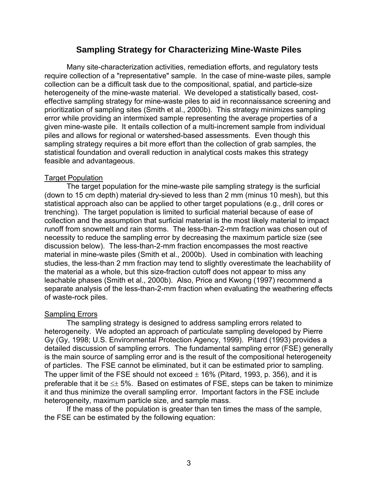## **Sampling Strategy for Characterizing Mine-Waste Piles**

Many site-characterization activities, remediation efforts, and regulatory tests require collection of a "representative" sample. In the case of mine-waste piles, sample collection can be a difficult task due to the compositional, spatial, and particle-size heterogeneity of the mine-waste material. We developed a statistically based, costeffective sampling strategy for mine-waste piles to aid in reconnaissance screening and prioritization of sampling sites (Smith et al., 2000b). This strategy minimizes sampling error while providing an intermixed sample representing the average properties of a given mine-waste pile. It entails collection of a multi-increment sample from individual piles and allows for regional or watershed-based assessments. Even though this sampling strategy requires a bit more effort than the collection of grab samples, the statistical foundation and overall reduction in analytical costs makes this strategy feasible and advantageous.

### **Target Population**

The target population for the mine-waste pile sampling strategy is the surficial (down to 15 cm depth) material dry-sieved to less than 2 mm (minus 10 mesh), but this statistical approach also can be applied to other target populations (e.g., drill cores or trenching). The target population is limited to surficial material because of ease of collection and the assumption that surficial material is the most likely material to impact runoff from snowmelt and rain storms. The less-than-2-mm fraction was chosen out of necessity to reduce the sampling error by decreasing the maximum particle size (see discussion below). The less-than-2-mm fraction encompasses the most reactive material in mine-waste piles (Smith et al., 2000b). Used in combination with leaching studies, the less-than 2 mm fraction may tend to slightly overestimate the leachability of the material as a whole, but this size-fraction cutoff does not appear to miss any leachable phases (Smith et al., 2000b). Also, Price and Kwong (1997) recommend a separate analysis of the less-than-2-mm fraction when evaluating the weathering effects of waste-rock piles.

## Sampling Errors

The sampling strategy is designed to address sampling errors related to heterogeneity. We adopted an approach of particulate sampling developed by Pierre Gy (Gy, 1998; U.S. Environmental Protection Agency, 1999). Pitard (1993) provides a detailed discussion of sampling errors. The fundamental sampling error (FSE) generally is the main source of sampling error and is the result of the compositional heterogeneity of particles. The FSE cannot be eliminated, but it can be estimated prior to sampling. The upper limit of the FSE should not exceed  $\pm$  16% (Pitard, 1993, p. 356), and it is preferable that it be  $\leq \pm 5\%$ . Based on estimates of FSE, steps can be taken to minimize it and thus minimize the overall sampling error. Important factors in the FSE include heterogeneity, maximum particle size, and sample mass.

If the mass of the population is greater than ten times the mass of the sample, the FSE can be estimated by the following equation: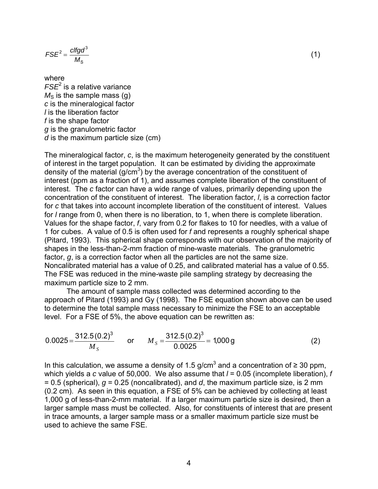$$
FSE^2 = \frac{c l f g d^3}{M_S} \tag{1}
$$

where *FSE*<sup>2</sup> is a relative variance  $M<sub>S</sub>$  is the sample mass (g) *c* is the mineralogical factor *l* is the liberation factor *f* is the shape factor *g* is the granulometric factor *d* is the maximum particle size (cm)

The mineralogical factor, *c*, is the maximum heterogeneity generated by the constituent of interest in the target population. It can be estimated by dividing the approximate density of the material  $(g/cm<sup>3</sup>)$  by the average concentration of the constituent of interest (ppm as a fraction of 1), and assumes complete liberation of the constituent of interest. The *c* factor can have a wide range of values, primarily depending upon the concentration of the constituent of interest. The liberation factor, *l*, is a correction factor for *c* that takes into account incomplete liberation of the constituent of interest. Values for *l* range from 0, when there is no liberation, to 1, when there is complete liberation. Values for the shape factor, *f*, vary from 0.2 for flakes to 10 for needles, with a value of 1 for cubes. A value of 0.5 is often used for *f* and represents a roughly spherical shape (Pitard, 1993). This spherical shape corresponds with our observation of the majority of shapes in the less-than-2-mm fraction of mine-waste materials. The granulometric factor, *g*, is a correction factor when all the particles are not the same size. Noncalibrated material has a value of 0.25, and calibrated material has a value of 0.55. The FSE was reduced in the mine-waste pile sampling strategy by decreasing the maximum particle size to 2 mm.

The amount of sample mass collected was determined according to the approach of Pitard (1993) and Gy (1998). The FSE equation shown above can be used to determine the total sample mass necessary to minimize the FSE to an acceptable level. For a FSE of 5%, the above equation can be rewritten as:

$$
0.0025 = \frac{312.5(0.2)^3}{M_s} \qquad \text{or} \qquad M_s = \frac{312.5(0.2)^3}{0.0025} = 1,000 \text{ g} \tag{2}
$$

In this calculation, we assume a density of 1.5 g/cm<sup>3</sup> and a concentration of  $\geq 30$  ppm, which yields a *c* value of 50,000. We also assume that *l* = 0.05 (incomplete liberation), *f* = 0.5 (spherical), *g* = 0.25 (noncalibrated), and *d*, the maximum particle size, is 2 mm (0.2 cm). As seen in this equation, a FSE of 5% can be achieved by collecting at least 1,000 g of less-than-2-mm material. If a larger maximum particle size is desired, then a larger sample mass must be collected. Also, for constituents of interest that are present in trace amounts, a larger sample mass or a smaller maximum particle size must be used to achieve the same FSE.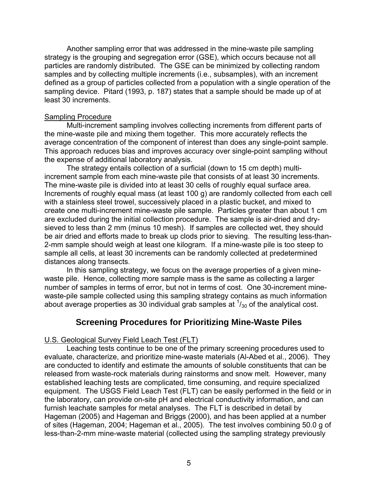Another sampling error that was addressed in the mine-waste pile sampling strategy is the grouping and segregation error (GSE), which occurs because not all particles are randomly distributed. The GSE can be minimized by collecting random samples and by collecting multiple increments (i.e., subsamples), with an increment defined as a group of particles collected from a population with a single operation of the sampling device. Pitard (1993, p. 187) states that a sample should be made up of at least 30 increments.

## Sampling Procedure

Multi-increment sampling involves collecting increments from different parts of the mine-waste pile and mixing them together. This more accurately reflects the average concentration of the component of interest than does any single-point sample. This approach reduces bias and improves accuracy over single-point sampling without the expense of additional laboratory analysis.

The strategy entails collection of a surficial (down to 15 cm depth) multiincrement sample from each mine-waste pile that consists of at least 30 increments. The mine-waste pile is divided into at least 30 cells of roughly equal surface area. Increments of roughly equal mass (at least 100 g) are randomly collected from each cell with a stainless steel trowel, successively placed in a plastic bucket, and mixed to create one multi-increment mine-waste pile sample. Particles greater than about 1 cm are excluded during the initial collection procedure. The sample is air-dried and drysieved to less than 2 mm (minus 10 mesh). If samples are collected wet, they should be air dried and efforts made to break up clods prior to sieving. The resulting less-than-2-mm sample should weigh at least one kilogram. If a mine-waste pile is too steep to sample all cells, at least 30 increments can be randomly collected at predetermined distances along transects.

In this sampling strategy, we focus on the average properties of a given minewaste pile. Hence, collecting more sample mass is the same as collecting a larger number of samples in terms of error, but not in terms of cost. One 30-increment minewaste-pile sample collected using this sampling strategy contains as much information about average properties as 30 individual grab samples at  $\frac{1}{30}$  of the analytical cost.

## **Screening Procedures for Prioritizing Mine-Waste Piles**

## U.S. Geological Survey Field Leach Test (FLT)

Leaching tests continue to be one of the primary screening procedures used to evaluate, characterize, and prioritize mine-waste materials (Al-Abed et al., 2006). They are conducted to identify and estimate the amounts of soluble constituents that can be released from waste-rock materials during rainstorms and snow melt. However, many established leaching tests are complicated, time consuming, and require specialized equipment. The USGS Field Leach Test (FLT) can be easily performed in the field or in the laboratory, can provide on-site pH and electrical conductivity information, and can furnish leachate samples for metal analyses. The FLT is described in detail by Hageman (2005) and Hageman and Briggs (2000), and has been applied at a number of sites (Hageman, 2004; Hageman et al., 2005). The test involves combining 50.0 g of less-than-2-mm mine-waste material (collected using the sampling strategy previously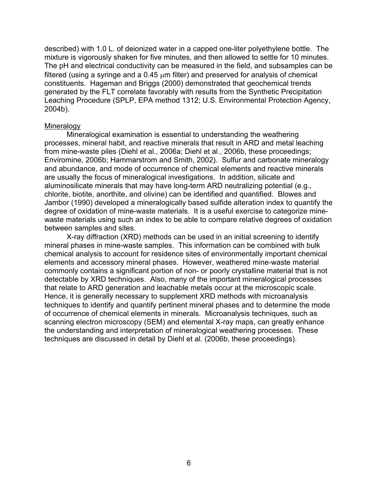described) with 1.0 L. of deionized water in a capped one-liter polyethylene bottle. The mixture is vigorously shaken for five minutes, and then allowed to settle for 10 minutes. The pH and electrical conductivity can be measured in the field, and subsamples can be filtered (using a syringe and a 0.45 μm filter) and preserved for analysis of chemical constituents. Hageman and Briggs (2000) demonstrated that geochemical trends generated by the FLT correlate favorably with results from the Synthetic Precipitation Leaching Procedure (SPLP, EPA method 1312; U.S. Environmental Protection Agency, 2004b).

#### **Mineralogy**

Mineralogical examination is essential to understanding the weathering processes, mineral habit, and reactive minerals that result in ARD and metal leaching from mine-waste piles (Diehl et al., 2006a; Diehl et al., 2006b, these proceedings; Enviromine, 2006b; Hammarstrom and Smith, 2002). Sulfur and carbonate mineralogy and abundance, and mode of occurrence of chemical elements and reactive minerals are usually the focus of mineralogical investigations. In addition, silicate and aluminosilicate minerals that may have long-term ARD neutralizing potential (e.g., chlorite, biotite, anorthite, and olivine) can be identified and quantified. Blowes and Jambor (1990) developed a mineralogically based sulfide alteration index to quantify the degree of oxidation of mine-waste materials. It is a useful exercise to categorize minewaste materials using such an index to be able to compare relative degrees of oxidation between samples and sites.

X-ray diffraction (XRD) methods can be used in an initial screening to identify mineral phases in mine-waste samples. This information can be combined with bulk chemical analysis to account for residence sites of environmentally important chemical elements and accessory mineral phases. However, weathered mine-waste material commonly contains a significant portion of non- or poorly crystalline material that is not detectable by XRD techniques. Also, many of the important mineralogical processes that relate to ARD generation and leachable metals occur at the microscopic scale. Hence, it is generally necessary to supplement XRD methods with microanalysis techniques to identify and quantify pertinent mineral phases and to determine the mode of occurrence of chemical elements in minerals. Microanalysis techniques, such as scanning electron microscopy (SEM) and elemental X-ray maps, can greatly enhance the understanding and interpretation of mineralogical weathering processes. These techniques are discussed in detail by Diehl et al. (2006b, these proceedings).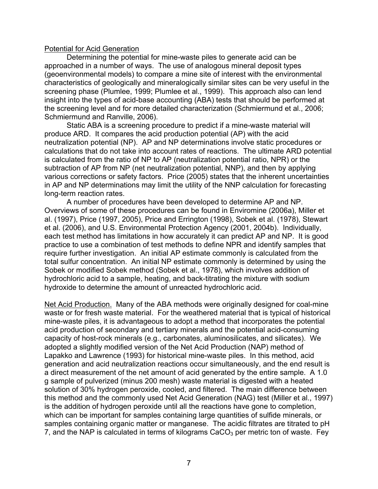#### Potential for Acid Generation

Determining the potential for mine-waste piles to generate acid can be approached in a number of ways. The use of analogous mineral deposit types (geoenvironmental models) to compare a mine site of interest with the environmental characteristics of geologically and mineralogically similar sites can be very useful in the screening phase (Plumlee, 1999; Plumlee et al., 1999). This approach also can lend insight into the types of acid-base accounting (ABA) tests that should be performed at the screening level and for more detailed characterization (Schmiermund et al., 2006; Schmiermund and Ranville, 2006).

Static ABA is a screening procedure to predict if a mine-waste material will produce ARD. It compares the acid production potential (AP) with the acid neutralization potential (NP). AP and NP determinations involve static procedures or calculations that do not take into account rates of reactions. The ultimate ARD potential is calculated from the ratio of NP to AP (neutralization potential ratio, NPR) or the subtraction of AP from NP (net neutralization potential, NNP), and then by applying various corrections or safety factors. Price (2005) states that the inherent uncertainties in AP and NP determinations may limit the utility of the NNP calculation for forecasting long-term reaction rates.

A number of procedures have been developed to determine AP and NP. Overviews of some of these procedures can be found in Enviromine (2006a), Miller et al. (1997), Price (1997, 2005), Price and Errington (1998), Sobek et al. (1978), Stewart et al. (2006), and U.S. Environmental Protection Agency (2001, 2004b). Individually, each test method has limitations in how accurately it can predict AP and NP. It is good practice to use a combination of test methods to define NPR and identify samples that require further investigation. An initial AP estimate commonly is calculated from the total sulfur concentration. An initial NP estimate commonly is determined by using the Sobek or modified Sobek method (Sobek et al., 1978), which involves addition of hydrochloric acid to a sample, heating, and back-titrating the mixture with sodium hydroxide to determine the amount of unreacted hydrochloric acid.

Net Acid Production. Many of the ABA methods were originally designed for coal-mine waste or for fresh waste material. For the weathered material that is typical of historical mine-waste piles, it is advantageous to adopt a method that incorporates the potential acid production of secondary and tertiary minerals and the potential acid-consuming capacity of host-rock minerals (e.g., carbonates, aluminosilicates, and silicates). We adopted a slightly modified version of the Net Acid Production (NAP) method of Lapakko and Lawrence (1993) for historical mine-waste piles. In this method, acid generation and acid neutralization reactions occur simultaneously, and the end result is a direct measurement of the net amount of acid generated by the entire sample. A 1.0 g sample of pulverized (minus 200 mesh) waste material is digested with a heated solution of 30% hydrogen peroxide, cooled, and filtered. The main difference between this method and the commonly used Net Acid Generation (NAG) test (Miller et al., 1997) is the addition of hydrogen peroxide until all the reactions have gone to completion, which can be important for samples containing large quantities of sulfide minerals, or samples containing organic matter or manganese. The acidic filtrates are titrated to pH 7, and the NAP is calculated in terms of kilograms  $CaCO<sub>3</sub>$  per metric ton of waste. Fey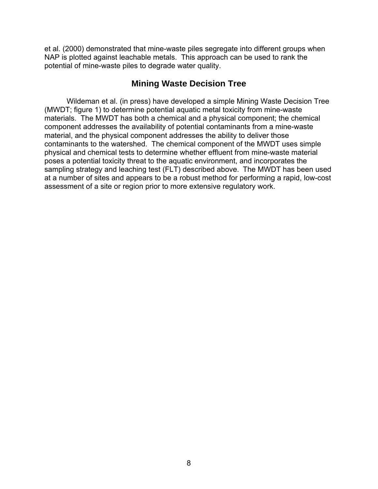et al. (2000) demonstrated that mine-waste piles segregate into different groups when NAP is plotted against leachable metals. This approach can be used to rank the potential of mine-waste piles to degrade water quality.

# **Mining Waste Decision Tree**

Wildeman et al. (in press) have developed a simple Mining Waste Decision Tree (MWDT; figure 1) to determine potential aquatic metal toxicity from mine-waste materials. The MWDT has both a chemical and a physical component; the chemical component addresses the availability of potential contaminants from a mine-waste material, and the physical component addresses the ability to deliver those contaminants to the watershed. The chemical component of the MWDT uses simple physical and chemical tests to determine whether effluent from mine-waste material poses a potential toxicity threat to the aquatic environment, and incorporates the sampling strategy and leaching test (FLT) described above. The MWDT has been used at a number of sites and appears to be a robust method for performing a rapid, low-cost assessment of a site or region prior to more extensive regulatory work.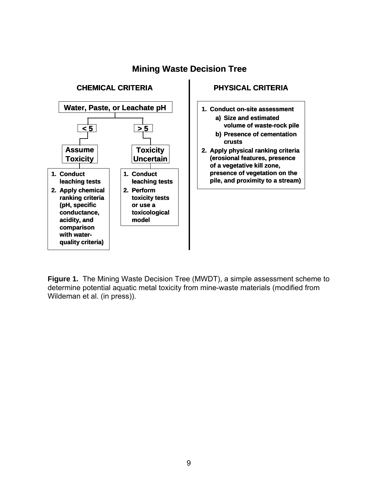

# **Mining Waste Decision Tree**

## **PHYSICAL CRITERIA**

- **1. Conduct on-site assessment a) Size and estimated** 
	- **volume of waste-rock pile b) Presence of cementation**
	- **crusts**
- **2. Apply physical ranking criteria (erosional features, presence of a vegetative kill zone, presence of vegetation on the pile, and proximity to a stream)**

**Figure 1.** The Mining Waste Decision Tree (MWDT), a simple assessment scheme to determine potential aquatic metal toxicity from mine-waste materials (modified from Wildeman et al. (in press)).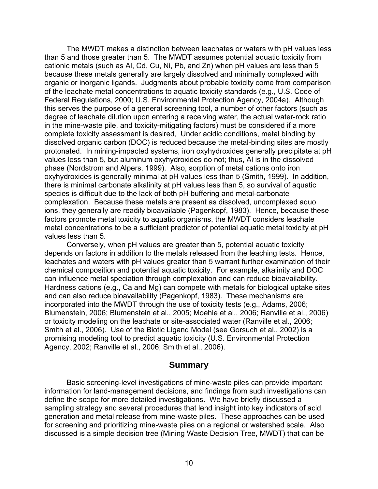The MWDT makes a distinction between leachates or waters with pH values less than 5 and those greater than 5. The MWDT assumes potential aquatic toxicity from cationic metals (such as Al, Cd, Cu, Ni, Pb, and Zn) when pH values are less than 5 because these metals generally are largely dissolved and minimally complexed with organic or inorganic ligands. Judgments about probable toxicity come from comparison of the leachate metal concentrations to aquatic toxicity standards (e.g., U.S. Code of Federal Regulations, 2000; U.S. Environmental Protection Agency, 2004a). Although this serves the purpose of a general screening tool, a number of other factors (such as degree of leachate dilution upon entering a receiving water, the actual water-rock ratio in the mine-waste pile, and toxicity-mitigating factors) must be considered if a more complete toxicity assessment is desired, Under acidic conditions, metal binding by dissolved organic carbon (DOC) is reduced because the metal-binding sites are mostly protonated. In mining-impacted systems, iron oxyhydroxides generally precipitate at pH values less than 5, but aluminum oxyhydroxides do not; thus, Al is in the dissolved phase (Nordstrom and Alpers, 1999). Also, sorption of metal cations onto iron oxyhydroxides is generally minimal at pH values less than 5 (Smith, 1999). In addition, there is minimal carbonate alkalinity at pH values less than 5, so survival of aquatic species is difficult due to the lack of both pH buffering and metal-carbonate complexation. Because these metals are present as dissolved, uncomplexed aquo ions, they generally are readily bioavailable (Pagenkopf, 1983). Hence, because these factors promote metal toxicity to aquatic organisms, the MWDT considers leachate metal concentrations to be a sufficient predictor of potential aquatic metal toxicity at pH values less than 5.

Conversely, when pH values are greater than 5, potential aquatic toxicity depends on factors in addition to the metals released from the leaching tests. Hence, leachates and waters with pH values greater than 5 warrant further examination of their chemical composition and potential aquatic toxicity. For example, alkalinity and DOC can influence metal speciation through complexation and can reduce bioavailability. Hardness cations (e.g., Ca and Mg) can compete with metals for biological uptake sites and can also reduce bioavailability (Pagenkopf, 1983). These mechanisms are incorporated into the MWDT through the use of toxicity tests (e.g., Adams, 2006; Blumenstein, 2006; Blumenstein et al., 2005; Moehle et al., 2006; Ranville et al., 2006) or toxicity modeling on the leachate or site-associated water (Ranville et al., 2006; Smith et al., 2006). Use of the Biotic Ligand Model (see Gorsuch et al., 2002) is a promising modeling tool to predict aquatic toxicity (U.S. Environmental Protection Agency, 2002; Ranville et al., 2006; Smith et al., 2006).

#### **Summary**

Basic screening-level investigations of mine-waste piles can provide important information for land-management decisions, and findings from such investigations can define the scope for more detailed investigations. We have briefly discussed a sampling strategy and several procedures that lend insight into key indicators of acid generation and metal release from mine-waste piles. These approaches can be used for screening and prioritizing mine-waste piles on a regional or watershed scale. Also discussed is a simple decision tree (Mining Waste Decision Tree, MWDT) that can be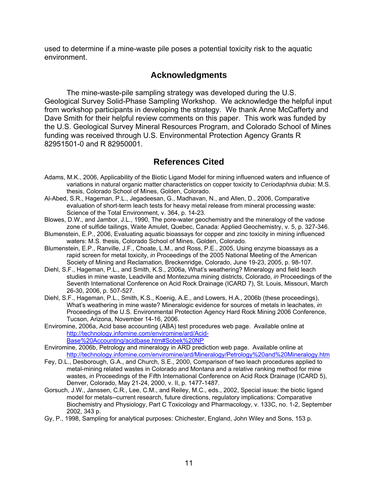used to determine if a mine-waste pile poses a potential toxicity risk to the aquatic environment.

# **Acknowledgments**

The mine-waste-pile sampling strategy was developed during the U.S. Geological Survey Solid-Phase Sampling Workshop. We acknowledge the helpful input from workshop participants in developing the strategy. We thank Anne McCafferty and Dave Smith for their helpful review comments on this paper. This work was funded by the U.S. Geological Survey Mineral Resources Program, and Colorado School of Mines funding was received through U.S. Environmental Protection Agency Grants R 82951501-0 and R 82950001.

# **References Cited**

- Adams, M.K., 2006, Applicability of the Biotic Ligand Model for mining influenced waters and influence of variations in natural organic matter characteristics on copper toxicity to *Ceriodaphnia dubia*: M.S. thesis, Colorado School of Mines, Golden, Colorado.
- Al-Abed, S.R., Hageman, P.L., Jegadeesan, G., Madhavan, N., and Allen, D., 2006, Comparative evaluation of short-term leach tests for heavy metal release from mineral processing waste: Science of the Total Environment, v. 364, p. 14-23.
- Blowes, D.W., and Jambor, J.L., 1990, The pore-water geochemistry and the mineralogy of the vadose zone of sulfide tailings, Waite Amulet, Quebec, Canada: Applied Geochemistry, v. 5, p. 327-346.
- Blumenstein, E.P., 2006, Evaluating aquatic bioassays for copper and zinc toxicity in mining influenced waters: M.S. thesis, Colorado School of Mines, Golden, Colorado.
- Blumenstein, E.P., Ranville, J.F., Choate, L.M., and Ross, P.E., 2005, Using enzyme bioassays as a rapid screen for metal toxicity, *in* Proceedings of the 2005 National Meeting of the American Society of Mining and Reclamation, Breckenridge, Colorado, June 19-23, 2005, p. 98-107.
- Diehl, S.F., Hageman, P.L., and Smith, K.S., 2006a, What's weathering? Mineralogy and field leach studies in mine waste, Leadville and Montezuma mining districts, Colorado, *in* Proceedings of the Seventh International Conference on Acid Rock Drainage (ICARD 7), St. Louis, Missouri, March 26-30, 2006, p. 507-527.
- Diehl, S.F., Hageman, P.L., Smith, K.S., Koenig, A.E., and Lowers, H.A., 2006b (these proceedings), What's weathering in mine waste? Mineralogic evidence for sources of metals in leachates, *in* Proceedings of the U.S. Environmental Protection Agency Hard Rock Mining 2006 Conference, Tucson, Arizona, November 14-16, 2006.
- Enviromine, 2006a, Acid base accounting (ABA) test procedures web page. Available online at [http://technology.infomine.com/enviromine/ard/Acid-](http://technology.infomine.com/enviromine/ard/Acid-Base Accounting/acidbase.htm#Sobek%20NP)[Base%20Accounting/acidbase.htm#Sobek%20NP](http://technology.infomine.com/enviromine/ard/Acid-Base Accounting/acidbase.htm#Sobek%20NP)
- Enviromine, 2006b, Petrology and mineralogy in ARD prediction web page. Available online at <http://technology.infomine.com/enviromine/ard/Mineralogy/Petrology%20and%20Mineralogy.htm>
- Fey, D.L., Desborough, G.A., and Church, S.E., 2000, Comparison of two leach procedures applied to metal-mining related wastes in Colorado and Montana and a relative ranking method for mine wastes, *in* Proceedings of the Fifth International Conference on Acid Rock Drainage (ICARD 5), Denver, Colorado, May 21-24, 2000, v. II, p. 1477-1487.
- Gorsuch, J.W., Janssen, C.R., Lee, C.M., and Reiley, M.C., eds., 2002, Special issue: the biotic ligand model for metals--current research, future directions, regulatory implications: Comparative Biochemistry and Physiology, Part C Toxicology and Pharmacology, v. 133C, no. 1-2, September 2002, 343 p.
- Gy, P., 1998, Sampling for analytical purposes: Chichester, England, John Wiley and Sons, 153 p.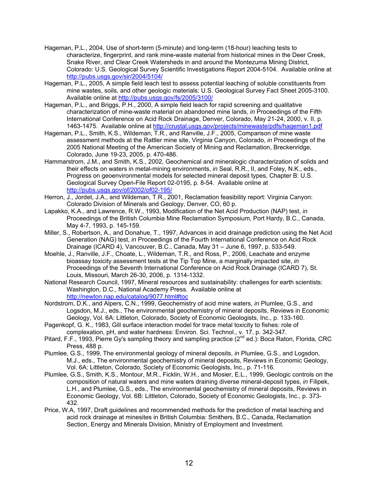- Hageman, P.L., 2004, Use of short-term (5-minute) and long-term (18-hour) leaching tests to characterize, fingerprint, and rank mine-waste material from historical mines in the Deer Creek, Snake River, and Clear Creek Watersheds in and around the Montezuma Mining District, Colorado: U.S. Geological Survey Scientific Investigations Report 2004-5104. Available online at <http://pubs.usgs.gov/sir/2004/5104/>
- Hageman, P.L., 2005, A simple field leach test to assess potential leaching of soluble constituents from mine wastes, soils, and other geologic materials: U.S. Geological Survey Fact Sheet 2005-3100. Available online at <http://pubs.usgs.gov/fs/2005/3100/>
- Hageman, P.L., and Briggs, P.H., 2000, A simple field leach for rapid screening and qualitative characterization of mine-waste material on abandoned mine lands, *in* Proceedings of the Fifth International Conference on Acid Rock Drainage, Denver, Colorado, May 21-24, 2000, v. II, p. 1463-1475. Available online at<http://crustal.usgs.gov/projects/minewaste/pdfs/hageman1.pdf>
- Hageman, P.L., Smith, K.S., Wildeman, T.R., and Ranville, J.F., 2005, Comparison of mine waste assessment methods at the Rattler mine site, Virginia Canyon, Colorado, *in* Proceedings of the 2005 National Meeting of the American Society of Mining and Reclamation, Breckenridge, Colorado, June 19-23, 2005, p. 470-486.
- Hammarstrom, J.M., and Smith, K.S., 2002, Geochemical and mineralogic characterization of solids and their effects on waters in metal-mining environments, *in* Seal, R.R., II, and Foley, N.K., eds., Progress on geoenvironmental models for selected mineral deposit types, Chapter B: U.S. Geological Survey Open-File Report 02-0195, p. 8-54. Available online at <http://pubs.usgs.gov/of/2002/of02-195/>
- Herron, J., Jordet, J.A., and Wildeman, T.R., 2001, Reclamation feasibility report: Virginia Canyon: Colorado Division of Minerals and Geology, Denver, CO, 60 p.
- Lapakko, K.A., and Lawrence, R.W., 1993, Modification of the Net Acid Production (NAP) test, *in* Proceedings of the British Columbia Mine Reclamation Symposium, Port Hardy, B.C., Canada, May 4-7, 1993, p. 145-159.
- Miller, S., Robertson, A., and Donahue, T., 1997, Advances in acid drainage prediction using the Net Acid Generation (NAG) test, *in* Proceedings of the Fourth International Conference on Acid Rock Drainage (ICARD 4), Vancouver, B.C., Canada, May 31 – June 6, 1997, p. 533-549.
- Moehle, J., Ranville, J.F., Choate, L., Wildeman, T.R., and Ross, P., 2006, Leachate and enzyme bioassay toxicity assessment tests at the Tip Top Mine, a marginally impacted site, *in* Proceedings of the Seventh International Conference on Acid Rock Drainage (ICARD 7), St. Louis, Missouri, March 26-30, 2006, p. 1314-1332.
- National Research Council, 1997, Mineral resources and sustainability: challenges for earth scientists: Washington, D.C., National Academy Press. Available online at <http://newton.nap.edu/catalog/9077.html#toc>
- Nordstrom, D.K., and Alpers, C.N., 1999, Geochemistry of acid mine waters, *in* Plumlee, G.S., and Logsdon, M.J., eds., The environmental geochemistry of mineral deposits, Reviews in Economic Geology, Vol. 6A: Littleton, Colorado, Society of Economic Geologists, Inc., p. 133-160.
- Pagenkopf, G. K., 1983, Gill surface interaction model for trace metal toxicity to fishes: role of complexation, pH, and water hardness: Environ. Sci. Technol., v. 17, p. 342-347.
- Pitard, F.F., 1993, Pierre Gy's sampling theory and sampling practice (2nd ed.): Boca Raton, Florida, CRC Press, 488 p.
- Plumlee, G.S., 1999, The environmental geology of mineral deposits, *in* Plumlee, G.S., and Logsdon, M.J., eds., The environmental geochemistry of mineral deposits, Reviews in Economic Geology, Vol. 6A: Littleton, Colorado, Society of Economic Geologists, Inc., p. 71-116.
- Plumlee, G.S., Smith, K.S., Montour, M.R., Ficklin, W.H., and Mosier, E.L., 1999, Geologic controls on the composition of natural waters and mine waters draining diverse mineral-deposit types, *in* Filipek, L.H., and Plumlee, G.S., eds., The environmental geochemistry of mineral deposits, Reviews in Economic Geology, Vol. 6B: Littleton, Colorado, Society of Economic Geologists, Inc., p. 373- 432.
- Price, W.A, 1997, Draft guidelines and recommended methods for the prediction of metal leaching and acid rock drainage at minesites in British Columbia: Smithers, B.C., Canada, Reclamation Section, Energy and Minerals Division, Ministry of Employment and Investment.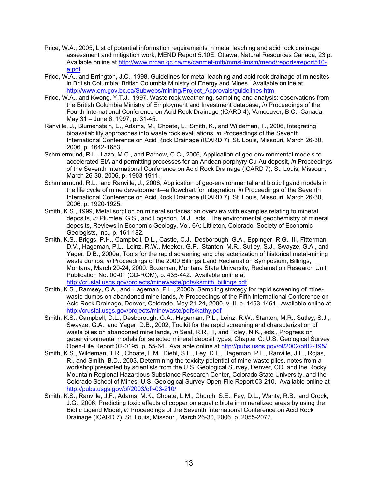- Price, W.A., 2005, List of potential information requirements in metal leaching and acid rock drainage assessment and mitigation work, MEND Report 5.10E: Ottawa, Natural Resources Canada, 23 p. Available online at [http://www.nrcan.gc.ca/ms/canmet-mtb/mmsl-lmsm/mend/reports/report510](http://www.nrcan.gc.ca/ms/canmet-mtb/mmsl-lmsm/mend/reports/report510-e.pdf) [e.pdf](http://www.nrcan.gc.ca/ms/canmet-mtb/mmsl-lmsm/mend/reports/report510-e.pdf)
- Price, W.A., and Errington, J.C., 1998, Guidelines for metal leaching and acid rock drainage at minesites in British Columbia: British Columbia Ministry of Energy and Mines. Available online at [http://www.em.gov.bc.ca/Subwebs/mining/Project\\_Approvals/guidelines.htm](http://www.em.gov.bc.ca/Subwebs/mining/Project_Approvals/guidelines.htm)
- Price, W.A., and Kwong, Y.T.J., 1997, Waste rock weathering, sampling and analysis: observations from the British Columbia Ministry of Employment and Investment database, *in* Proceedings of the Fourth International Conference on Acid Rock Drainage (ICARD 4), Vancouver, B.C., Canada, May 31 – June 6, 1997, p. 31-45.
- Ranville, J., Blumenstein, E., Adams, M., Choate, L., Smith, K., and Wildeman, T., 2006, Integrating bioavailability approaches into waste rock evaluations, *in* Proceedings of the Seventh International Conference on Acid Rock Drainage (ICARD 7), St. Louis, Missouri, March 26-30, 2006, p. 1642-1653.
- Schmiermund, R.L., Lazo, M.C., and Parnow, C.C., 2006, Application of geo-environmental models to accelerated EIA and permitting processes for an Andean porphyry Cu-Au deposit, *in* Proceedings of the Seventh International Conference on Acid Rock Drainage (ICARD 7), St. Louis, Missouri, March 26-30, 2006, p. 1903-1911.
- Schmiermund, R.L., and Ranville, J., 2006, Application of geo-environmental and biotic ligand models in the life cycle of mine development—a flowchart for integration, *in* Proceedings of the Seventh International Conference on Acid Rock Drainage (ICARD 7), St. Louis, Missouri, March 26-30, 2006, p. 1920-1925.
- Smith, K.S., 1999, Metal sorption on mineral surfaces: an overview with examples relating to mineral deposits, *in* Plumlee, G.S., and Logsdon, M.J., eds., The environmental geochemistry of mineral deposits, Reviews in Economic Geology, Vol. 6A: Littleton, Colorado, Society of Economic Geologists, Inc., p. 161-182.
- Smith, K.S., Briggs, P.H., Campbell, D.L., Castle, C.J., Desborough, G.A., Eppinger, R.G., III, Fitterman, D.V., Hageman, P.L., Leinz, R.W., Meeker, G.P., Stanton, M.R., Sutley, S.J., Swayze, G.A., and Yager, D.B., 2000a, Tools for the rapid screening and characterization of historical metal-mining waste dumps, *in* Proceedings of the 2000 Billings Land Reclamation Symposium, Billings, Montana, March 20-24, 2000: Bozeman, Montana State University, Reclamation Research Unit Publication No. 00-01 (CD-ROM), p. 435-442. Available online at [http://crustal.usgs.gov/projects/minewaste/pdfs/ksmith\\_billings.pdf](http://crustal.usgs.gov/projects/minewaste/pdfs/ksmith_billings.pdf)
- Smith, K.S., Ramsey, C.A., and Hageman, P.L., 2000b, Sampling strategy for rapid screening of minewaste dumps on abandoned mine lands, *in* Proceedings of the Fifth International Conference on Acid Rock Drainage, Denver, Colorado, May 21-24, 2000, v. II, p. 1453-1461. Available online at <http://crustal.usgs.gov/projects/minewaste/pdfs/kathy.pdf>
- Smith, K.S., Campbell, D.L., Desborough, G.A., Hageman, P.L., Leinz, R.W., Stanton, M.R., Sutley, S.J., Swayze, G.A., and Yager, D.B., 2002, Toolkit for the rapid screening and characterization of waste piles on abandoned mine lands, *in* Seal, R.R., II, and Foley, N.K., eds., Progress on geoenvironmental models for selected mineral deposit types, Chapter C: U.S. Geological Survey Open-File Report 02-0195, p. 55-64. Available online at <http://pubs.usgs.gov/of/2002/of02-195/>
- Smith, K.S., Wildeman, T.R., Choate, L.M., Diehl, S.F., Fey, D.L., Hageman, P.L., Ranville, J.F., Rojas, R., and Smith, B.D., 2003, Determining the toxicity potential of mine-waste piles, notes from a workshop presented by scientists from the U.S. Geological Survey, Denver, CO, and the Rocky Mountain Regional Hazardous Substance Research Center, Colorado State University, and the Colorado School of Mines: U.S. Geological Survey Open-File Report 03-210. Available online at <http://pubs.usgs.gov/of/2003/ofr-03-210/>
- Smith, K.S., Ranville, J.F., Adams, M.K., Choate, L.M., Church, S.E., Fey, D.L., Wanty, R.B., and Crock, J.G., 2006, Predicting toxic effects of copper on aquatic biota in mineralized areas by using the Biotic Ligand Model, *in* Proceedings of the Seventh International Conference on Acid Rock Drainage (ICARD 7), St. Louis, Missouri, March 26-30, 2006, p. 2055-2077.